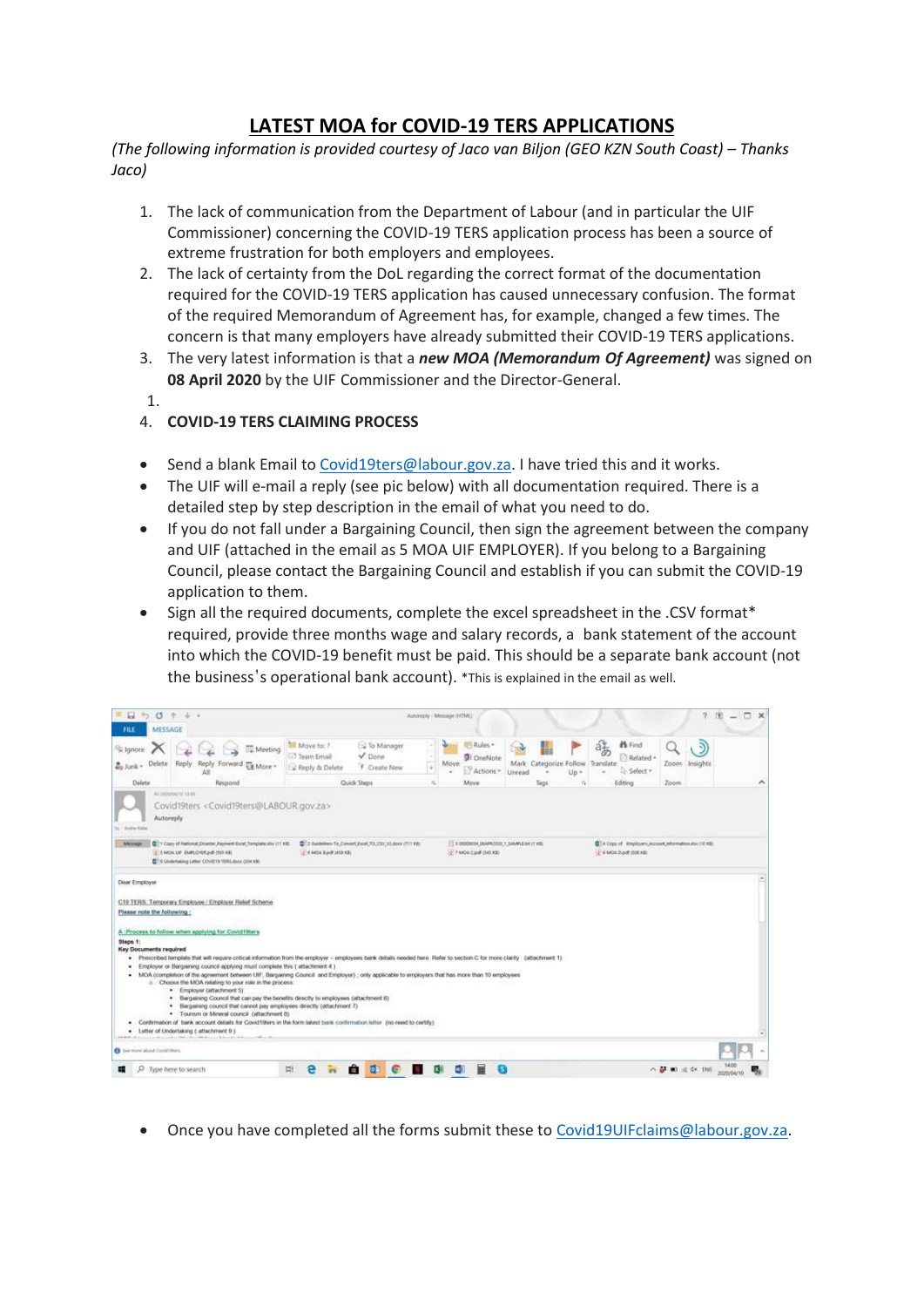## **LATEST MOA for COVID-19 TERS APPLICATIONS**

*(The following information is provided courtesy of Jaco van Biljon (GEO KZN South Coast) - Thanks Jaco)*

- 1. The lack of communication from the Department of Labour (and in particular the UIF Commissioner) concerning the COVID-19 TERS application process has been a source of extreme frustration for both employers and employees.
- 2. The lack of certainty from the DoL regarding the correct format of the documentation required for the COVID-19 TERS application has caused unnecessary confusion. The format of the required Memorandum of Agreement has, for example, changed a few times. The concern is that many employers have already submitted their COVID-19 TERS applications.
- 3. The very latest information is that a *new MOA (Memorandum Of Agreement)* was signed on **08 April 2020** by the UIF Commissioner and the Director-General.
- 1.

## 4. **COVID-19 TERS CLAIMING PROCESS**

- Send a blank Email to [Covid19ters@labour.gov.za.](mailto:Covid19ters@labour.gov.za) I have tried this and it works.
- The UIF will e-mail a reply (see pic below) with all documentation required. There is a detailed step by step description in the email of what you need to do.
- If you do not fall under a Bargaining Council, then sign the agreement between the company and UIF (attached in the email as 5 MOA UIF EMPLOYER). If you belong to a Bargaining Council, please contact the Bargaining Council and establish if you can submit the COVID-19 application to them.
- Sign all the required documents, complete the excel spreadsheet in the .CSV format\* required, provide three months wage and salary records, a bank statement of the account into which the COVID-19 benefit must be paid. This should be a separate bank account (not the business's operational bank account). \*This is explained in the email as well.

| ×<br>$\Box$<br>$^{15}$<br>MESSAGE<br>FILE                                                |                                                                                                                                                                                                                                                                                                                                                                                                                                                                                                                                                                                                                                                                                                                                                                                                                                                                                                                                                                |                                                       |                                                               | Autoveply - Message (HTML)                                            |                                                       |                                                                                                       | $\mathcal{P}$<br>$ \Box$ $\times$<br>(9) |
|------------------------------------------------------------------------------------------|----------------------------------------------------------------------------------------------------------------------------------------------------------------------------------------------------------------------------------------------------------------------------------------------------------------------------------------------------------------------------------------------------------------------------------------------------------------------------------------------------------------------------------------------------------------------------------------------------------------------------------------------------------------------------------------------------------------------------------------------------------------------------------------------------------------------------------------------------------------------------------------------------------------------------------------------------------------|-------------------------------------------------------|---------------------------------------------------------------|-----------------------------------------------------------------------|-------------------------------------------------------|-------------------------------------------------------------------------------------------------------|------------------------------------------|
| C Ignore<br>Delete<br>An Junk *                                                          | Meeting<br>Reply<br>Reply<br><b>FOIWING</b><br>More:<br>ΔI                                                                                                                                                                                                                                                                                                                                                                                                                                                                                                                                                                                                                                                                                                                                                                                                                                                                                                     | Maye to: 7<br><b>C</b> Team Email<br>- Reply & Delete | S To Manager<br>$V$ Done<br>F. Create New                     | Rules -<br>SH OrieNote<br>Move<br>$\mathcal{L}$<br>Actions *<br>×.    | Categorize Follow Translate<br>Mark<br>Unread<br>Up * | <b>IN</b> Find<br>藩<br>Related +<br>Select +<br>$\sim$                                                | Zoom Insights                            |
| Delete                                                                                   | Respond                                                                                                                                                                                                                                                                                                                                                                                                                                                                                                                                                                                                                                                                                                                                                                                                                                                                                                                                                        |                                                       | Quick Steps                                                   | c.<br>Maye                                                            | Tags                                                  | Editing<br>÷.                                                                                         | Zoom<br>A                                |
| Andre Kate<br><b>Message</b>                                                             | Covid19ters <covid19ters@labour.gov.za><br/>Autoreply<br/>[2] Y Copy of National Dreaths: Payment Ecost, Template stor (11.43);<br/>IE 3 MOA LIF EMPLOYER pdf (565 KB)<br/>E I Godanakog Letter COVID19 1993.doce (204 KB)</covid19ters@labour.gov.za>                                                                                                                                                                                                                                                                                                                                                                                                                                                                                                                                                                                                                                                                                                         | E 4 MOA Radf (458 KB)                                 | 2. 2 Guidelines To, Comvert, Excel, TO, CSV, V2 dock (711 KB) | 10 3 00000034 DIAMPEDDO 1 SAMPLE BY IT KELL<br>2 7 MOA Could (545 KB) |                                                       | <b>Q</b> <sup>11</sup> 4 Copy of Employers, Astound, Information sha 110 KB<br>E # MOA Duydf (506 KB) |                                          |
| <b>Dear Employer</b><br>Please note the following:<br>Steps 1:<br>Key Documents required | C19 TERS. Temporary Employee / Employer Relief Schem-<br>A :Process to follow when applying for Cevid19ters                                                                                                                                                                                                                                                                                                                                                                                                                                                                                                                                                                                                                                                                                                                                                                                                                                                    |                                                       |                                                               |                                                                       |                                                       |                                                                                                       |                                          |
|                                                                                          | . Prescribed template that will require critical information from the employer - employees bank details needed here. Refer to section C for more clarity (attachment 1)<br>. Employer or Bergaming council applying must complete this ( attachment 4 )<br>. MOA (completion of the agreement between UIF, Bargaining Council and Employer) ; only applicable to employers that has more than 10 employees<br>o. Choose the MOA relating to your role in the process.<br>· Employer (attachment 5)<br>. Bargaining Council that can pay the benefits directly to employees (attachment 6)<br>. Bargaining council that cannot pay employees directly (attachment 7)<br>· Tourism or Mineral council (attachment 8)<br>. Confirmation of bank account details for Covid19ters in the form latest bank confirmation letter (no need to certify).<br>. Letter of Undertaking (attachment 9 )<br>and a complete charge that the state show that the complete state |                                                       |                                                               |                                                                       |                                                       |                                                                                                       |                                          |
| <b>D</b> See more about Covernment                                                       |                                                                                                                                                                                                                                                                                                                                                                                                                                                                                                                                                                                                                                                                                                                                                                                                                                                                                                                                                                |                                                       |                                                               |                                                                       |                                                       |                                                                                                       |                                          |
| 疆                                                                                        | O Type here to search                                                                                                                                                                                                                                                                                                                                                                                                                                                                                                                                                                                                                                                                                                                                                                                                                                                                                                                                          | Ħ                                                     |                                                               |                                                                       | в                                                     |                                                                                                       | $40.80 \pm 0.005$                        |

• Once you have completed all the forms submit these to [Covid19UIFclaims@labour.gov.za.](mailto:Covid19UIFclaims@labour.gov.za)